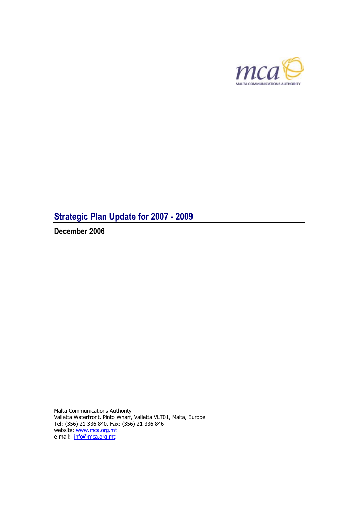

# **Strategic Plan Update for 2007 - 2009**

**December 2006** 

Malta Communications Authority Valletta Waterfront, Pinto Wharf, Valletta VLT01, Malta, Europe Tel: (356) 21 336 840. Fax: (356) 21 336 846 website: [www.mca.org.mt](http://www.mca.org.mt/) e-mail: info@mca.org.mt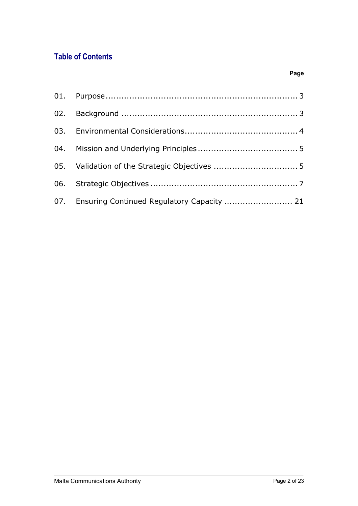# **Table of Contents**

| 07. Ensuring Continued Regulatory Capacity  21 |  |
|------------------------------------------------|--|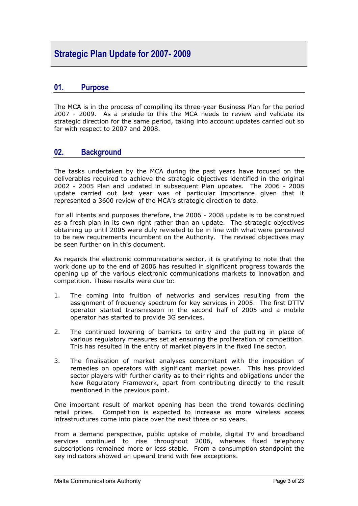# <span id="page-2-0"></span>**Strategic Plan Update for 2007- 2009**

# **01. Purpose**

The MCA is in the process of compiling its three-year Business Plan for the period 2007 - 2009. As a prelude to this the MCA needs to review and validate its strategic direction for the same period, taking into account updates carried out so far with respect to 2007 and 2008.

# **02. Background**

The tasks undertaken by the MCA during the past years have focused on the deliverables required to achieve the strategic objectives identified in the original 2002 - 2005 Plan and updated in subsequent Plan updates. The 2006 - 2008 update carried out last year was of particular importance given that it represented a 3600 review of the MCA's strategic direction to date.

For all intents and purposes therefore, the 2006 - 2008 update is to be construed as a fresh plan in its own right rather than an update. The strategic objectives obtaining up until 2005 were duly revisited to be in line with what were perceived to be new requirements incumbent on the Authority. The revised objectives may be seen further on in this document.

As regards the electronic communications sector, it is gratifying to note that the work done up to the end of 2006 has resulted in significant progress towards the opening up of the various electronic communications markets to innovation and competition. These results were due to:

- 1. The coming into fruition of networks and services resulting from the assignment of frequency spectrum for key services in 2005. The first DTTV operator started transmission in the second half of 2005 and a mobile operator has started to provide 3G services.
- 2. The continued lowering of barriers to entry and the putting in place of various regulatory measures set at ensuring the proliferation of competition. This has resulted in the entry of market players in the fixed line sector.
- 3. The finalisation of market analyses concomitant with the imposition of remedies on operators with significant market power. This has provided sector players with further clarity as to their rights and obligations under the New Regulatory Framework, apart from contributing directly to the result mentioned in the previous point.

One important result of market opening has been the trend towards declining retail prices. Competition is expected to increase as more wireless access infrastructures come into place over the next three or so years.

From a demand perspective, public uptake of mobile, digital TV and broadband services continued to rise throughout 2006, whereas fixed telephony subscriptions remained more or less stable. From a consumption standpoint the key indicators showed an upward trend with few exceptions.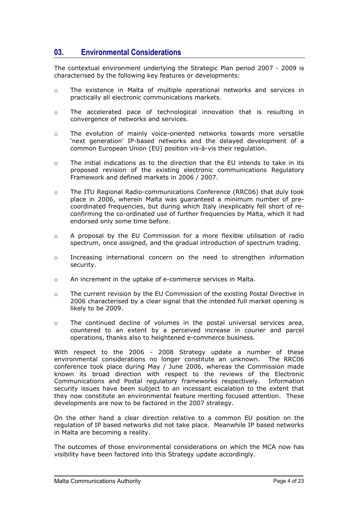# <span id="page-3-0"></span>**03. Environmental Considerations**

The contextual environment underlying the Strategic Plan period 2007 - 2009 is characterised by the following key features or developments:

- o The existence in Malta of multiple operational networks and services in practically all electronic communications markets.
- o The accelerated pace of technological innovation that is resulting in convergence of networks and services.
- o The evolution of mainly voice-oriented networks towards more versatile 'next generation' IP-based networks and the delayed development of a common European Union (EU) position vis-à-vis their regulation.
- $\sim$ The initial indications as to the direction that the EU intends to take in its proposed revision of the existing electronic communications Regulatory Framework and defined markets in 2006 / 2007.
- o The ITU Regional Radio-communications Conference (RRC06) that duly took place in 2006, wherein Malta was guaranteed a minimum number of precoordinated frequencies, but during which Italy inexplicably fell short of reconfirming the co-ordinated use of further frequencies by Malta, which it had endorsed only some time before.
- o A proposal by the EU Commission for a more flexible utilisation of radio spectrum, once assigned, and the gradual introduction of spectrum trading.
- o Increasing international concern on the need to strengthen information security.
- o An increment in the uptake of e-commerce services in Malta.
- o The current revision by the EU Commission of the existing Postal Directive in 2006 characterised by a clear signal that the intended full market opening is likely to be 2009.
- o The continued decline of volumes in the postal universal services area, countered to an extent by a perceived increase in courier and parcel operations, thanks also to heightened e-commerce business.

With respect to the 2006 - 2008 Strategy update a number of these environmental considerations no longer constitute an unknown. The RRC06 conference took place during May / June 2006, whereas the Commission made known its broad direction with respect to the reviews of the Electronic Communications and Postal regulatory frameworks respectively. Information security issues have been subject to an incessant escalation to the extent that they now constitute an environmental feature meriting focused attention. These developments are now to be factored in the 2007 strategy.

On the other hand a clear direction relative to a common EU position on the regulation of IP based networks did not take place. Meanwhile IP based networks in Malta are becoming a reality.

The outcomes of those environmental considerations on which the MCA now has visibility have been factored into this Strategy update accordingly.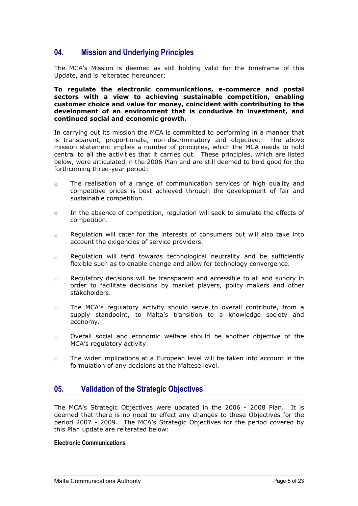# <span id="page-4-0"></span>**04. Mission and Underlying Principles**

The MCA's Mission is deemed as still holding valid for the timeframe of this Update, and is reiterated hereunder:

**To regulate the electronic communications, e-commerce and postal sectors with a view to achieving sustainable competition, enabling customer choice and value for money, coincident with contributing to the development of an environment that is conducive to investment, and continued social and economic growth.** 

In carrying out its mission the MCA is committed to performing in a manner that is transparent, proportionate, non-discriminatory and objective. The above mission statement implies a number of principles, which the MCA needs to hold central to all the activities that it carries out. These principles, which are listed below, were articulated in the 2006 Plan and are still deemed to hold good for the forthcoming three-year period:

- o The realisation of a range of communication services of high quality and competitive prices is best achieved through the development of fair and sustainable competition.
- o In the absence of competition, regulation will seek to simulate the effects of competition.
- o Regulation will cater for the interests of consumers but will also take into account the exigencies of service providers.
- o Regulation will tend towards technological neutrality and be sufficiently flexible such as to enable change and allow for technology convergence.
- o Regulatory decisions will be transparent and accessible to all and sundry in order to facilitate decisions by market players, policy makers and other stakeholders.
- $\sim$ The MCA's regulatory activity should serve to overall contribute, from a supply standpoint, to Malta's transition to a knowledge society and economy.
- o Overall social and economic welfare should be another objective of the MCA's regulatory activity.
- o The wider implications at a European level will be taken into account in the formulation of any decisions at the Maltese level.

# **05. Validation of the Strategic Objectives**

The MCA's Strategic Objectives were updated in the 2006 - 2008 Plan. It is deemed that there is no need to effect any changes to these Objectives for the period 2007 - 2009. The MCA's Strategic Objectives for the period covered by this Plan update are reiterated below:

#### **Electronic Communications**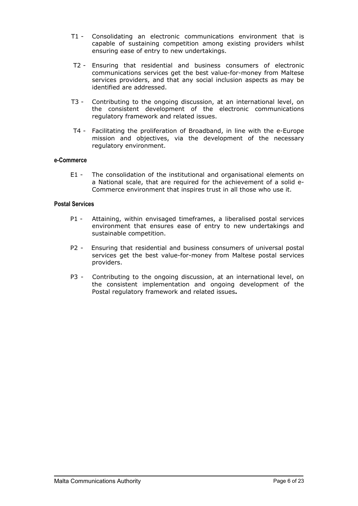- T1 Consolidating an electronic communications environment that is capable of sustaining competition among existing providers whilst ensuring ease of entry to new undertakings.
- T2 Ensuring that residential and business consumers of electronic communications services get the best value-for-money from Maltese services providers, and that any social inclusion aspects as may be identified are addressed.
- T3 Contributing to the ongoing discussion, at an international level, on the consistent development of the electronic communications regulatory framework and related issues.
- T4 Facilitating the proliferation of Broadband, in line with the e-Europe mission and objectives, via the development of the necessary regulatory environment.

#### **e-Commerce**

E1 - The consolidation of the institutional and organisational elements on a National scale, that are required for the achievement of a solid e-Commerce environment that inspires trust in all those who use it.

#### **Postal Services**

- P1 Attaining, within envisaged timeframes, a liberalised postal services environment that ensures ease of entry to new undertakings and sustainable competition.
- P2 Ensuring that residential and business consumers of universal postal services get the best value-for-money from Maltese postal services providers.
- P3 Contributing to the ongoing discussion, at an international level, on the consistent implementation and ongoing development of the Postal regulatory framework and related issues**.**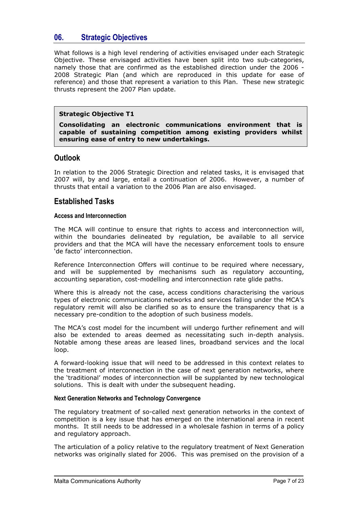# <span id="page-6-0"></span>**06. Strategic Objectives**

What follows is a high level rendering of activities envisaged under each Strategic Objective. These envisaged activities have been split into two sub-categories, namely those that are confirmed as the established direction under the 2006 - 2008 Strategic Plan (and which are reproduced in this update for ease of reference) and those that represent a variation to this Plan. These new strategic thrusts represent the 2007 Plan update.

#### **Strategic Objective T1**

**Consolidating an electronic communications environment that is capable of sustaining competition among existing providers whilst ensuring ease of entry to new undertakings.**

# **Outlook**

In relation to the 2006 Strategic Direction and related tasks, it is envisaged that 2007 will, by and large, entail a continuation of 2006. However, a number of thrusts that entail a variation to the 2006 Plan are also envisaged.

## **Established Tasks**

#### **Access and Interconnection**

The MCA will continue to ensure that rights to access and interconnection will, within the boundaries delineated by regulation, be available to all service providers and that the MCA will have the necessary enforcement tools to ensure 'de facto' interconnection.

Reference Interconnection Offers will continue to be required where necessary, and will be supplemented by mechanisms such as regulatory accounting, accounting separation, cost-modelling and interconnection rate glide paths.

Where this is already not the case, access conditions characterising the various types of electronic communications networks and services falling under the MCA's regulatory remit will also be clarified so as to ensure the transparency that is a necessary pre-condition to the adoption of such business models.

The MCA's cost model for the incumbent will undergo further refinement and will also be extended to areas deemed as necessitating such in-depth analysis. Notable among these areas are leased lines, broadband services and the local loop.

A forward-looking issue that will need to be addressed in this context relates to the treatment of interconnection in the case of next generation networks, where the 'traditional' modes of interconnection will be supplanted by new technological solutions. This is dealt with under the subsequent heading.

#### **Next Generation Networks and Technology Convergence**

The regulatory treatment of so-called next generation networks in the context of competition is a key issue that has emerged on the international arena in recent months. It still needs to be addressed in a wholesale fashion in terms of a policy and regulatory approach.

The articulation of a policy relative to the regulatory treatment of Next Generation networks was originally slated for 2006. This was premised on the provision of a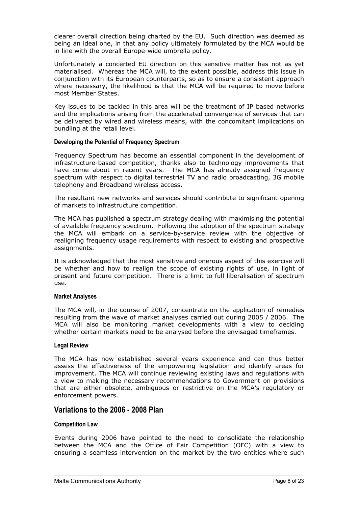clearer overall direction being charted by the EU. Such direction was deemed as being an ideal one, in that any policy ultimately formulated by the MCA would be in line with the overall Europe-wide umbrella policy.

Unfortunately a concerted EU direction on this sensitive matter has not as yet materialised. Whereas the MCA will, to the extent possible, address this issue in conjunction with its European counterparts, so as to ensure a consistent approach where necessary, the likelihood is that the MCA will be required to move before most Member States.

Key issues to be tackled in this area will be the treatment of IP based networks and the implications arising from the accelerated convergence of services that can be delivered by wired and wireless means, with the concomitant implications on bundling at the retail level.

#### **Developing the Potential of Frequency Spectrum**

Frequency Spectrum has become an essential component in the development of infrastructure-based competition, thanks also to technology improvements that have come about in recent years. The MCA has already assigned frequency spectrum with respect to digital terrestrial TV and radio broadcasting, 3G mobile telephony and Broadband wireless access.

The resultant new networks and services should contribute to significant opening of markets to infrastructure competition.

The MCA has published a spectrum strategy dealing with maximising the potential of available frequency spectrum. Following the adoption of the spectrum strategy the MCA will embark on a service-by-service review with the objective of realigning frequency usage requirements with respect to existing and prospective assignments.

It is acknowledged that the most sensitive and onerous aspect of this exercise will be whether and how to realign the scope of existing rights of use, in light of present and future competition. There is a limit to full liberalisation of spectrum use.

#### **Market Analyses**

The MCA will, in the course of 2007, concentrate on the application of remedies resulting from the wave of market analyses carried out during 2005 / 2006. The MCA will also be monitoring market developments with a view to deciding whether certain markets need to be analysed before the envisaged timeframes.

#### **Legal Review**

The MCA has now established several years experience and can thus better assess the effectiveness of the empowering legislation and identify areas for improvement. The MCA will continue reviewing existing laws and regulations with a view to making the necessary recommendations to Government on provisions that are either obsolete, ambiguous or restrictive on the MCA's regulatory or enforcement powers.

# **Variations to the 2006 - 2008 Plan**

#### **Competition Law**

Events during 2006 have pointed to the need to consolidate the relationship between the MCA and the Office of Fair Competition (OFC) with a view to ensuring a seamless intervention on the market by the two entities where such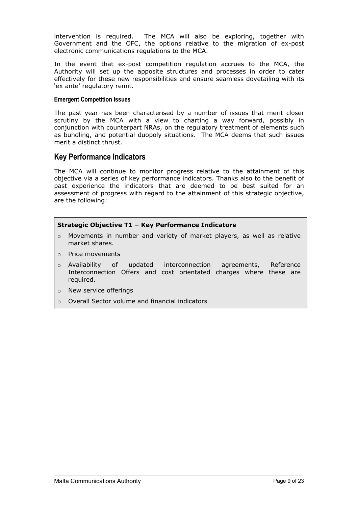intervention is required. The MCA will also be exploring, together with Government and the OFC, the options relative to the migration of ex-post electronic communications regulations to the MCA.

In the event that ex-post competition regulation accrues to the MCA, the Authority will set up the apposite structures and processes in order to cater effectively for these new responsibilities and ensure seamless dovetailing with its 'ex ante' regulatory remit.

#### **Emergent Competition Issues**

The past year has been characterised by a number of issues that merit closer scrutiny by the MCA with a view to charting a way forward, possibly in conjunction with counterpart NRAs, on the regulatory treatment of elements such as bundling, and potential duopoly situations. The MCA deems that such issues merit a distinct thrust.

# **Key Performance Indicators**

The MCA will continue to monitor progress relative to the attainment of this objective via a series of key performance indicators. Thanks also to the benefit of past experience the indicators that are deemed to be best suited for an assessment of progress with regard to the attainment of this strategic objective, are the following:

#### **Strategic Objective T1 – Key Performance Indicators**

- $\circ$  Movements in number and variety of market players, as well as relative market shares.
- o Price movements
- o Availability of updated interconnection agreements, Reference Interconnection Offers and cost orientated charges where these are required.
- o New service offerings
- o Overall Sector volume and financial indicators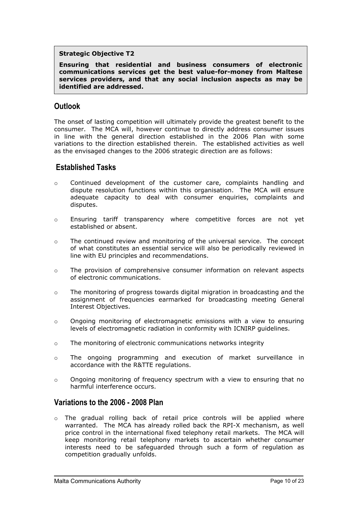#### **Strategic Objective T2**

**Ensuring that residential and business consumers of electronic communications services get the best value-for-money from Maltese services providers, and that any social inclusion aspects as may be identified are addressed.**

# **Outlook**

The onset of lasting competition will ultimately provide the greatest benefit to the consumer. The MCA will, however continue to directly address consumer issues in line with the general direction established in the 2006 Plan with some variations to the direction established therein. The established activities as well as the envisaged changes to the 2006 strategic direction are as follows:

# **Established Tasks**

- $\sim$ Continued development of the customer care, complaints handling and dispute resolution functions within this organisation. The MCA will ensure adequate capacity to deal with consumer enquiries, complaints and disputes.
- o Ensuring tariff transparency where competitive forces are not yet established or absent.
- o The continued review and monitoring of the universal service. The concept of what constitutes an essential service will also be periodically reviewed in line with EU principles and recommendations.
- o The provision of comprehensive consumer information on relevant aspects of electronic communications.
- o The monitoring of progress towards digital migration in broadcasting and the assignment of frequencies earmarked for broadcasting meeting General Interest Objectives.
- o Ongoing monitoring of electromagnetic emissions with a view to ensuring levels of electromagnetic radiation in conformity with ICNIRP guidelines.
- o The monitoring of electronic communications networks integrity
- o The ongoing programming and execution of market surveillance in accordance with the R&TTE regulations.
- o Ongoing monitoring of frequency spectrum with a view to ensuring that no harmful interference occurs.

## **Variations to the 2006 - 2008 Plan**

 $\circ$  The gradual rolling back of retail price controls will be applied where warranted. The MCA has already rolled back the RPI-X mechanism, as well price control in the international fixed telephony retail markets. The MCA will keep monitoring retail telephony markets to ascertain whether consumer interests need to be safeguarded through such a form of regulation as competition gradually unfolds.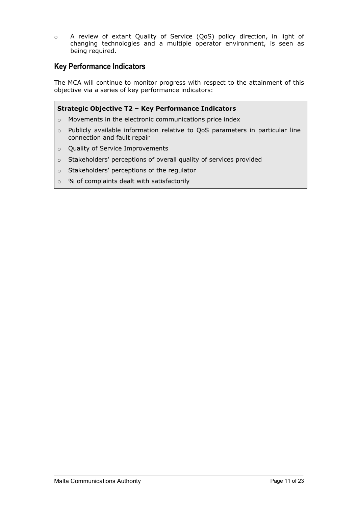o A review of extant Quality of Service (QoS) policy direction, in light of changing technologies and a multiple operator environment, is seen as being required.

# **Key Performance Indicators**

The MCA will continue to monitor progress with respect to the attainment of this objective via a series of key performance indicators:

### **Strategic Objective T2 – Key Performance Indicators**

- o Movements in the electronic communications price index
- o Publicly available information relative to QoS parameters in particular line connection and fault repair
- o Quality of Service Improvements
- o Stakeholders' perceptions of overall quality of services provided
- o Stakeholders' perceptions of the regulator
- o % of complaints dealt with satisfactorily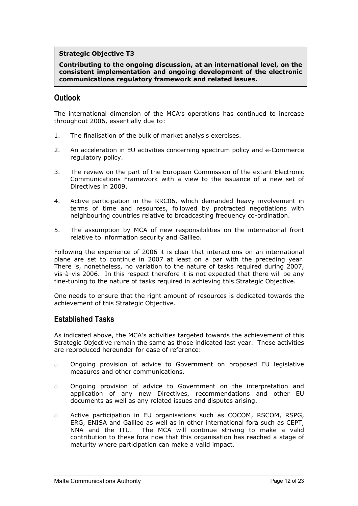#### **Strategic Objective T3**

**Contributing to the ongoing discussion, at an international level, on the consistent implementation and ongoing development of the electronic communications regulatory framework and related issues.**

# **Outlook**

The international dimension of the MCA's operations has continued to increase throughout 2006, essentially due to:

- 1. The finalisation of the bulk of market analysis exercises.
- 2. An acceleration in EU activities concerning spectrum policy and e-Commerce regulatory policy.
- 3. The review on the part of the European Commission of the extant Electronic Communications Framework with a view to the issuance of a new set of Directives in 2009.
- 4. Active participation in the RRC06, which demanded heavy involvement in terms of time and resources, followed by protracted negotiations with neighbouring countries relative to broadcasting frequency co-ordination.
- 5. The assumption by MCA of new responsibilities on the international front relative to information security and Galileo.

Following the experience of 2006 it is clear that interactions on an international plane are set to continue in 2007 at least on a par with the preceding year. There is, nonetheless, no variation to the nature of tasks required during 2007, vis-à-vis 2006. In this respect therefore it is not expected that there will be any fine-tuning to the nature of tasks required in achieving this Strategic Objective.

One needs to ensure that the right amount of resources is dedicated towards the achievement of this Strategic Objective.

# **Established Tasks**

As indicated above, the MCA's activities targeted towards the achievement of this Strategic Objective remain the same as those indicated last year. These activities are reproduced hereunder for ease of reference:

- o Ongoing provision of advice to Government on proposed EU legislative measures and other communications.
- o Ongoing provision of advice to Government on the interpretation and application of any new Directives, recommendations and other EU documents as well as any related issues and disputes arising.
- o Active participation in EU organisations such as COCOM, RSCOM, RSPG, ERG, ENISA and Galileo as well as in other international fora such as CEPT, NNA and the ITU. The MCA will continue striving to make a valid contribution to these fora now that this organisation has reached a stage of maturity where participation can make a valid impact.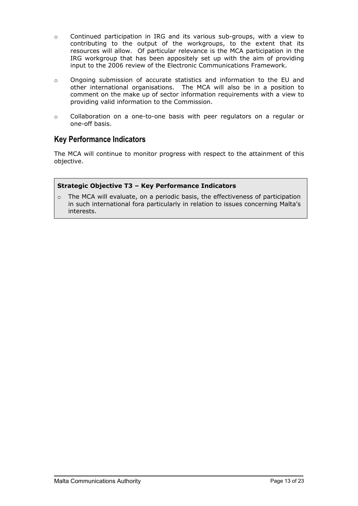- o Continued participation in IRG and its various sub-groups, with a view to contributing to the output of the workgroups, to the extent that its resources will allow. Of particular relevance is the MCA participation in the IRG workgroup that has been appositely set up with the aim of providing input to the 2006 review of the Electronic Communications Framework.
- o Ongoing submission of accurate statistics and information to the EU and other international organisations. The MCA will also be in a position to comment on the make up of sector information requirements with a view to providing valid information to the Commission.
- o Collaboration on a one-to-one basis with peer regulators on a regular or one-off basis.

# **Key Performance Indicators**

The MCA will continue to monitor progress with respect to the attainment of this objective.

### **Strategic Objective T3 – Key Performance Indicators**

o The MCA will evaluate, on a periodic basis, the effectiveness of participation in such international fora particularly in relation to issues concerning Malta's interests.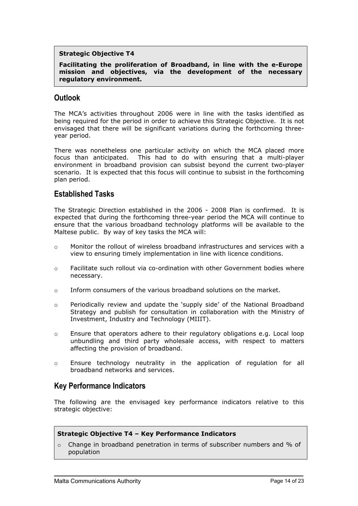#### **Strategic Objective T4**

**Facilitating the proliferation of Broadband, in line with the e-Europe mission and objectives, via the development of the necessary regulatory environment.**

# **Outlook**

The MCA's activities throughout 2006 were in line with the tasks identified as being required for the period in order to achieve this Strategic Objective. It is not envisaged that there will be significant variations during the forthcoming threeyear period.

There was nonetheless one particular activity on which the MCA placed more focus than anticipated. This had to do with ensuring that a multi-player environment in broadband provision can subsist beyond the current two-player scenario. It is expected that this focus will continue to subsist in the forthcoming plan period.

# **Established Tasks**

The Strategic Direction established in the 2006 - 2008 Plan is confirmed. It is expected that during the forthcoming three-year period the MCA will continue to ensure that the various broadband technology platforms will be available to the Maltese public. By way of key tasks the MCA will:

- o Monitor the rollout of wireless broadband infrastructures and services with a view to ensuring timely implementation in line with licence conditions.
- o Facilitate such rollout via co-ordination with other Government bodies where necessary.
- o Inform consumers of the various broadband solutions on the market.
- o Periodically review and update the 'supply side' of the National Broadband Strategy and publish for consultation in collaboration with the Ministry of Investment, Industry and Technology (MIIIT).
- o Ensure that operators adhere to their regulatory obligations e.g. Local loop unbundling and third party wholesale access, with respect to matters affecting the provision of broadband.
- o Ensure technology neutrality in the application of regulation for all broadband networks and services.

## **Key Performance Indicators**

The following are the envisaged key performance indicators relative to this strategic objective:

#### **Strategic Objective T4 – Key Performance Indicators**

 $\circ$  Change in broadband penetration in terms of subscriber numbers and % of population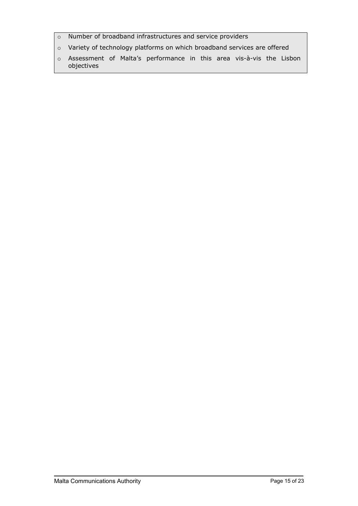- o Number of broadband infrastructures and service providers
- o Variety of technology platforms on which broadband services are offered
- o Assessment of Malta's performance in this area vis-à-vis the Lisbon objectives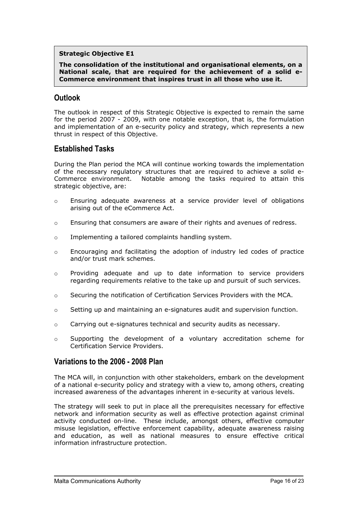#### **Strategic Objective E1**

**The consolidation of the institutional and organisational elements, on a National scale, that are required for the achievement of a solid e-Commerce environment that inspires trust in all those who use it.**

# **Outlook**

The outlook in respect of this Strategic Objective is expected to remain the same for the period 2007 - 2009, with one notable exception, that is, the formulation and implementation of an e-security policy and strategy, which represents a new thrust in respect of this Objective.

# **Established Tasks**

During the Plan period the MCA will continue working towards the implementation of the necessary regulatory structures that are required to achieve a solid e-Commerce environment. Notable among the tasks required to attain this strategic objective, are:

- o Ensuring adequate awareness at a service provider level of obligations arising out of the eCommerce Act.
- o Ensuring that consumers are aware of their rights and avenues of redress.
- o Implementing a tailored complaints handling system.
- o Encouraging and facilitating the adoption of industry led codes of practice and/or trust mark schemes.
- o Providing adequate and up to date information to service providers regarding requirements relative to the take up and pursuit of such services.
- o Securing the notification of Certification Services Providers with the MCA.
- o Setting up and maintaining an e-signatures audit and supervision function.
- o Carrying out e-signatures technical and security audits as necessary.
- o Supporting the development of a voluntary accreditation scheme for Certification Service Providers.

## **Variations to the 2006 - 2008 Plan**

The MCA will, in conjunction with other stakeholders, embark on the development of a national e-security policy and strategy with a view to, among others, creating increased awareness of the advantages inherent in e-security at various levels.

The strategy will seek to put in place all the prerequisites necessary for effective network and information security as well as effective protection against criminal activity conducted on-line. These include, amongst others, effective computer misuse legislation, effective enforcement capability, adequate awareness raising and education, as well as national measures to ensure effective critical information infrastructure protection.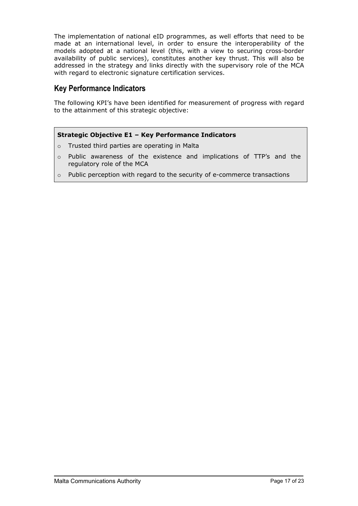The implementation of national eID programmes, as well efforts that need to be made at an international level, in order to ensure the interoperability of the models adopted at a national level (this, with a view to securing cross-border availability of public services), constitutes another key thrust. This will also be addressed in the strategy and links directly with the supervisory role of the MCA with regard to electronic signature certification services.

# **Key Performance Indicators**

The following KPI's have been identified for measurement of progress with regard to the attainment of this strategic objective:

### **Strategic Objective E1 – Key Performance Indicators**

- o Trusted third parties are operating in Malta
- o Public awareness of the existence and implications of TTP's and the regulatory role of the MCA
- o Public perception with regard to the security of e-commerce transactions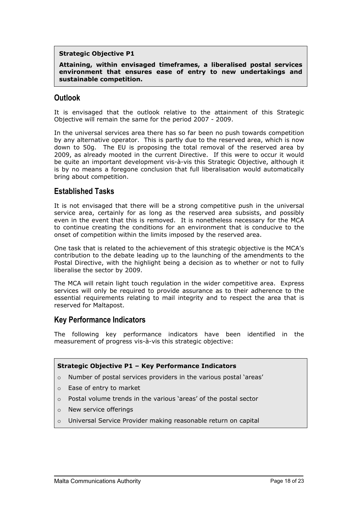#### **Strategic Objective P1**

**Attaining, within envisaged timeframes, a liberalised postal services environment that ensures ease of entry to new undertakings and sustainable competition.**

# **Outlook**

It is envisaged that the outlook relative to the attainment of this Strategic Objective will remain the same for the period 2007 - 2009.

In the universal services area there has so far been no push towards competition by any alternative operator. This is partly due to the reserved area, which is now down to 50g. The EU is proposing the total removal of the reserved area by 2009, as already mooted in the current Directive. If this were to occur it would be quite an important development vis-à-vis this Strategic Objective, although it is by no means a foregone conclusion that full liberalisation would automatically bring about competition.

## **Established Tasks**

It is not envisaged that there will be a strong competitive push in the universal service area, certainly for as long as the reserved area subsists, and possibly even in the event that this is removed. It is nonetheless necessary for the MCA to continue creating the conditions for an environment that is conducive to the onset of competition within the limits imposed by the reserved area.

One task that is related to the achievement of this strategic objective is the MCA's contribution to the debate leading up to the launching of the amendments to the Postal Directive, with the highlight being a decision as to whether or not to fully liberalise the sector by 2009.

The MCA will retain light touch regulation in the wider competitive area. Express services will only be required to provide assurance as to their adherence to the essential requirements relating to mail integrity and to respect the area that is reserved for Maltapost.

## **Key Performance Indicators**

The following key performance indicators have been identified in the measurement of progress vis-à-vis this strategic objective:

#### **Strategic Objective P1 – Key Performance Indicators**

- o Number of postal services providers in the various postal 'areas'
- o Ease of entry to market
- o Postal volume trends in the various 'areas' of the postal sector
- o New service offerings
- o Universal Service Provider making reasonable return on capital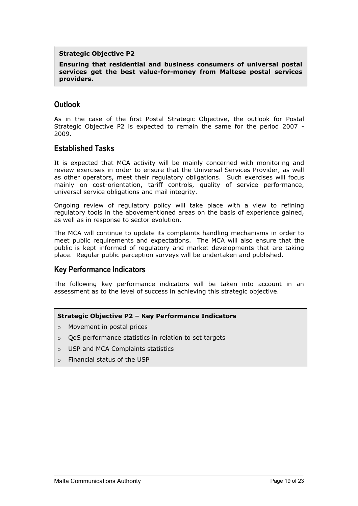#### **Strategic Objective P2**

**Ensuring that residential and business consumers of universal postal services get the best value-for-money from Maltese postal services providers.**

# **Outlook**

As in the case of the first Postal Strategic Objective, the outlook for Postal Strategic Objective P2 is expected to remain the same for the period 2007 - 2009.

## **Established Tasks**

It is expected that MCA activity will be mainly concerned with monitoring and review exercises in order to ensure that the Universal Services Provider, as well as other operators, meet their regulatory obligations. Such exercises will focus mainly on cost-orientation, tariff controls, quality of service performance, universal service obligations and mail integrity.

Ongoing review of regulatory policy will take place with a view to refining regulatory tools in the abovementioned areas on the basis of experience gained, as well as in response to sector evolution.

The MCA will continue to update its complaints handling mechanisms in order to meet public requirements and expectations. The MCA will also ensure that the public is kept informed of regulatory and market developments that are taking place. Regular public perception surveys will be undertaken and published.

# **Key Performance Indicators**

The following key performance indicators will be taken into account in an assessment as to the level of success in achieving this strategic objective.

#### **Strategic Objective P2 – Key Performance Indicators**

- o Movement in postal prices
- o QoS performance statistics in relation to set targets
- o USP and MCA Complaints statistics
- o Financial status of the USP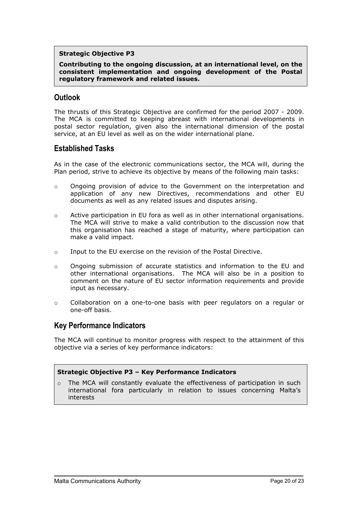#### **Strategic Objective P3**

**Contributing to the ongoing discussion, at an international level, on the consistent implementation and ongoing development of the Postal regulatory framework and related issues.**

# **Outlook**

The thrusts of this Strategic Objective are confirmed for the period 2007 - 2009. The MCA is committed to keeping abreast with international developments in postal sector regulation, given also the international dimension of the postal service, at an EU level as well as on the wider international plane.

## **Established Tasks**

As in the case of the electronic communications sector, the MCA will, during the Plan period, strive to achieve its objective by means of the following main tasks:

- o Ongoing provision of advice to the Government on the interpretation and application of any new Directives, recommendations and other EU documents as well as any related issues and disputes arising.
- o Active participation in EU fora as well as in other international organisations. The MCA will strive to make a valid contribution to the discussion now that this organisation has reached a stage of maturity, where participation can make a valid impact.
- o Input to the EU exercise on the revision of the Postal Directive.
- o Ongoing submission of accurate statistics and information to the EU and other international organisations. The MCA will also be in a position to comment on the nature of EU sector information requirements and provide input as necessary.
- o Collaboration on a one-to-one basis with peer regulators on a regular or one-off basis.

# **Key Performance Indicators**

The MCA will continue to monitor progress with respect to the attainment of this objective via a series of key performance indicators:

#### **Strategic Objective P3 – Key Performance Indicators**

 $\circ$  The MCA will constantly evaluate the effectiveness of participation in such international fora particularly in relation to issues concerning Malta's interests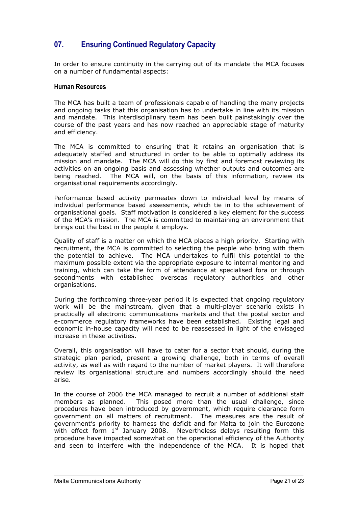# <span id="page-20-0"></span>**07. Ensuring Continued Regulatory Capacity**

In order to ensure continuity in the carrying out of its mandate the MCA focuses on a number of fundamental aspects:

#### **Human Resources**

The MCA has built a team of professionals capable of handling the many projects and ongoing tasks that this organisation has to undertake in line with its mission and mandate. This interdisciplinary team has been built painstakingly over the course of the past years and has now reached an appreciable stage of maturity and efficiency.

The MCA is committed to ensuring that it retains an organisation that is adequately staffed and structured in order to be able to optimally address its mission and mandate. The MCA will do this by first and foremost reviewing its activities on an ongoing basis and assessing whether outputs and outcomes are being reached. The MCA will, on the basis of this information, review its organisational requirements accordingly.

Performance based activity permeates down to individual level by means of individual performance based assessments, which tie in to the achievement of organisational goals. Staff motivation is considered a key element for the success of the MCA's mission. The MCA is committed to maintaining an environment that brings out the best in the people it employs.

Quality of staff is a matter on which the MCA places a high priority. Starting with recruitment, the MCA is committed to selecting the people who bring with them the potential to achieve. The MCA undertakes to fulfil this potential to the maximum possible extent via the appropriate exposure to internal mentoring and training, which can take the form of attendance at specialised fora or through secondments with established overseas regulatory authorities and other organisations.

During the forthcoming three-year period it is expected that ongoing regulatory work will be the mainstream, given that a multi-player scenario exists in practically all electronic communications markets and that the postal sector and e-commerce regulatory frameworks have been established. Existing legal and economic in-house capacity will need to be reassessed in light of the envisaged increase in these activities.

Overall, this organisation will have to cater for a sector that should, during the strategic plan period, present a growing challenge, both in terms of overall activity, as well as with regard to the number of market players. It will therefore review its organisational structure and numbers accordingly should the need arise.

In the course of 2006 the MCA managed to recruit a number of additional staff members as planned. This posed more than the usual challenge, since procedures have been introduced by government, which require clearance form government on all matters of recruitment. The measures are the result of government's priority to harness the deficit and for Malta to join the Eurozone with effect form  $1<sup>st</sup>$  January 2008. Nevertheless delays resulting form this procedure have impacted somewhat on the operational efficiency of the Authority and seen to interfere with the independence of the MCA. It is hoped that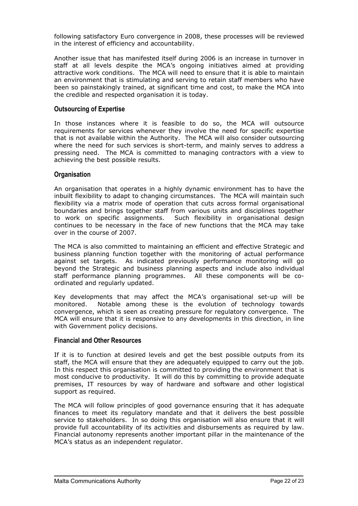following satisfactory Euro convergence in 2008, these processes will be reviewed in the interest of efficiency and accountability.

Another issue that has manifested itself during 2006 is an increase in turnover in staff at all levels despite the MCA's ongoing initiatives aimed at providing attractive work conditions. The MCA will need to ensure that it is able to maintain an environment that is stimulating and serving to retain staff members who have been so painstakingly trained, at significant time and cost, to make the MCA into the credible and respected organisation it is today.

#### **Outsourcing of Expertise**

In those instances where it is feasible to do so, the MCA will outsource requirements for services whenever they involve the need for specific expertise that is not available within the Authority. The MCA will also consider outsourcing where the need for such services is short-term, and mainly serves to address a pressing need. The MCA is committed to managing contractors with a view to achieving the best possible results.

#### **Organisation**

An organisation that operates in a highly dynamic environment has to have the inbuilt flexibility to adapt to changing circumstances. The MCA will maintain such flexibility via a matrix mode of operation that cuts across formal organisational boundaries and brings together staff from various units and disciplines together to work on specific assignments. Such flexibility in organisational design continues to be necessary in the face of new functions that the MCA may take over in the course of 2007.

The MCA is also committed to maintaining an efficient and effective Strategic and business planning function together with the monitoring of actual performance against set targets. As indicated previously performance monitoring will go beyond the Strategic and business planning aspects and include also individual staff performance planning programmes. All these components will be coordinated and regularly updated.

Key developments that may affect the MCA's organisational set-up will be monitored. Notable among these is the evolution of technology towards convergence, which is seen as creating pressure for regulatory convergence. The MCA will ensure that it is responsive to any developments in this direction, in line with Government policy decisions.

#### **Financial and Other Resources**

If it is to function at desired levels and get the best possible outputs from its staff, the MCA will ensure that they are adequately equipped to carry out the job. In this respect this organisation is committed to providing the environment that is most conducive to productivity. It will do this by committing to provide adequate premises, IT resources by way of hardware and software and other logistical support as required.

The MCA will follow principles of good governance ensuring that it has adequate finances to meet its regulatory mandate and that it delivers the best possible service to stakeholders. In so doing this organisation will also ensure that it will provide full accountability of its activities and disbursements as required by law. Financial autonomy represents another important pillar in the maintenance of the MCA's status as an independent regulator.